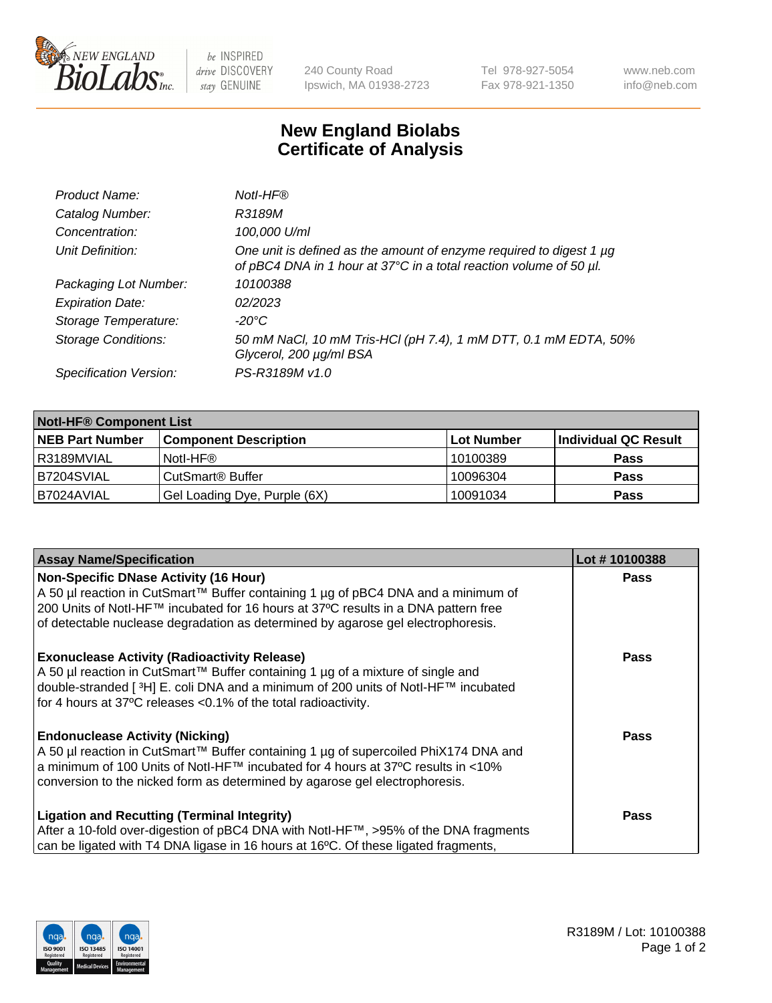

be INSPIRED drive DISCOVERY stay GENUINE

240 County Road Ipswich, MA 01938-2723 Tel 978-927-5054 Fax 978-921-1350 www.neb.com info@neb.com

## **New England Biolabs Certificate of Analysis**

| Product Name:              | Notl-HF®                                                                                                                                  |
|----------------------------|-------------------------------------------------------------------------------------------------------------------------------------------|
| Catalog Number:            | R3189M                                                                                                                                    |
| Concentration:             | 100,000 U/ml                                                                                                                              |
| Unit Definition:           | One unit is defined as the amount of enzyme required to digest 1 µg<br>of pBC4 DNA in 1 hour at 37°C in a total reaction volume of 50 µl. |
| Packaging Lot Number:      | 10100388                                                                                                                                  |
| <b>Expiration Date:</b>    | 02/2023                                                                                                                                   |
| Storage Temperature:       | $-20^{\circ}$ C                                                                                                                           |
| <b>Storage Conditions:</b> | 50 mM NaCl, 10 mM Tris-HCl (pH 7.4), 1 mM DTT, 0.1 mM EDTA, 50%<br>Glycerol, 200 µg/ml BSA                                                |
| Specification Version:     | PS-R3189M v1.0                                                                                                                            |

| <b>Notl-HF® Component List</b> |                              |            |                      |  |  |
|--------------------------------|------------------------------|------------|----------------------|--|--|
| <b>NEB Part Number</b>         | <b>Component Description</b> | Lot Number | Individual QC Result |  |  |
| I R3189MVIAL                   | Notl-HF®                     | 10100389   | <b>Pass</b>          |  |  |
| B7204SVIAL                     | CutSmart <sup>®</sup> Buffer | 10096304   | <b>Pass</b>          |  |  |
| B7024AVIAL                     | Gel Loading Dye, Purple (6X) | 10091034   | <b>Pass</b>          |  |  |

| <b>Assay Name/Specification</b>                                                              | Lot #10100388 |
|----------------------------------------------------------------------------------------------|---------------|
| <b>Non-Specific DNase Activity (16 Hour)</b>                                                 | <b>Pass</b>   |
| A 50 µl reaction in CutSmart™ Buffer containing 1 µg of pBC4 DNA and a minimum of            |               |
| 200 Units of Notl-HF™ incubated for 16 hours at 37°C results in a DNA pattern free           |               |
| of detectable nuclease degradation as determined by agarose gel electrophoresis.             |               |
| <b>Exonuclease Activity (Radioactivity Release)</b>                                          | Pass          |
| A 50 µl reaction in CutSmart™ Buffer containing 1 µg of a mixture of single and              |               |
| double-stranded [3H] E. coli DNA and a minimum of 200 units of Notl-HF™ incubated            |               |
| for 4 hours at 37°C releases <0.1% of the total radioactivity.                               |               |
| <b>Endonuclease Activity (Nicking)</b>                                                       | <b>Pass</b>   |
| A 50 µl reaction in CutSmart™ Buffer containing 1 µg of supercoiled PhiX174 DNA and          |               |
| a minimum of 100 Units of Notl-HF™ incubated for 4 hours at 37°C results in <10%             |               |
| conversion to the nicked form as determined by agarose gel electrophoresis.                  |               |
| <b>Ligation and Recutting (Terminal Integrity)</b>                                           | <b>Pass</b>   |
| After a 10-fold over-digestion of pBC4 DNA with Notl-HF™, >95% of the DNA fragments          |               |
| can be ligated with T4 DNA ligase in 16 hours at 16 $\degree$ C. Of these ligated fragments, |               |